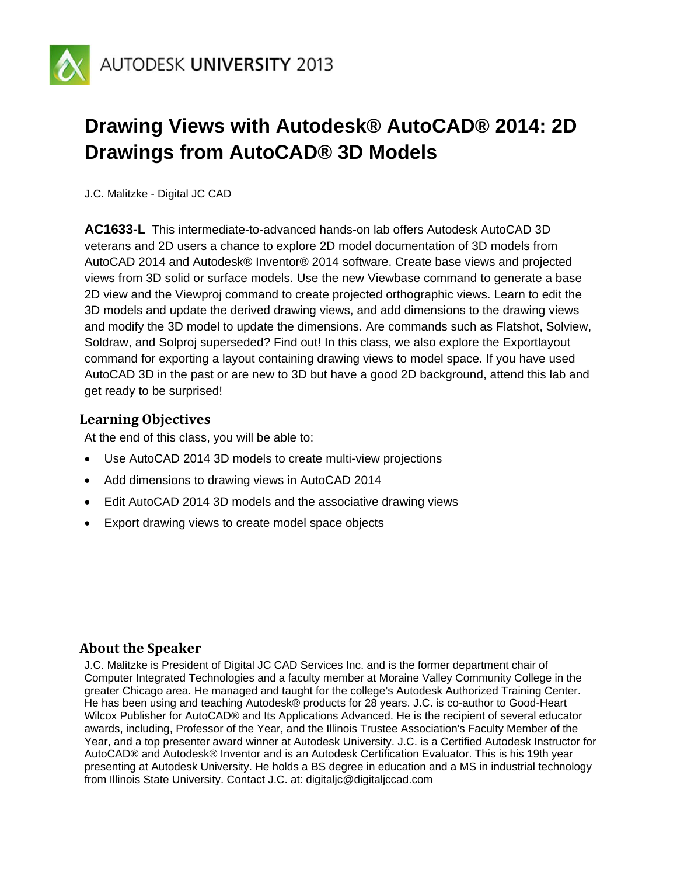

# **Drawing Views with Autodesk® AutoCAD® 2014: 2D Drawings from AutoCAD® 3D Models**

J.C. Malitzke - Digital JC CAD

**AC1633-L** This intermediate-to-advanced hands-on lab offers Autodesk AutoCAD 3D veterans and 2D users a chance to explore 2D model documentation of 3D models from AutoCAD 2014 and Autodesk® Inventor® 2014 software. Create base views and projected views from 3D solid or surface models. Use the new Viewbase command to generate a base 2D view and the Viewproj command to create projected orthographic views. Learn to edit the 3D models and update the derived drawing views, and add dimensions to the drawing views and modify the 3D model to update the dimensions. Are commands such as Flatshot, Solview, Soldraw, and Solproj superseded? Find out! In this class, we also explore the Exportlayout command for exporting a layout containing drawing views to model space. If you have used AutoCAD 3D in the past or are new to 3D but have a good 2D background, attend this lab and get ready to be surprised!

# **Learning Objectives**

At the end of this class, you will be able to:

- Use AutoCAD 2014 3D models to create multi-view projections
- Add dimensions to drawing views in AutoCAD 2014
- Edit AutoCAD 2014 3D models and the associative drawing views
- Export drawing views to create model space objects

# **About the Speaker**

J.C. Malitzke is President of Digital JC CAD Services Inc. and is the former department chair of Computer Integrated Technologies and a faculty member at Moraine Valley Community College in the greater Chicago area. He managed and taught for the college's Autodesk Authorized Training Center. He has been using and teaching Autodesk® products for 28 years. J.C. is co-author to Good-Heart Wilcox Publisher for AutoCAD® and Its Applications Advanced. He is the recipient of several educator awards, including, Professor of the Year, and the Illinois Trustee Association's Faculty Member of the Year, and a top presenter award winner at Autodesk University. J.C. is a Certified Autodesk Instructor for AutoCAD® and Autodesk® Inventor and is an Autodesk Certification Evaluator. This is his 19th year presenting at Autodesk University. He holds a BS degree in education and a MS in industrial technology from Illinois State University. Contact J.C. at: digitaljc@digitaljccad.com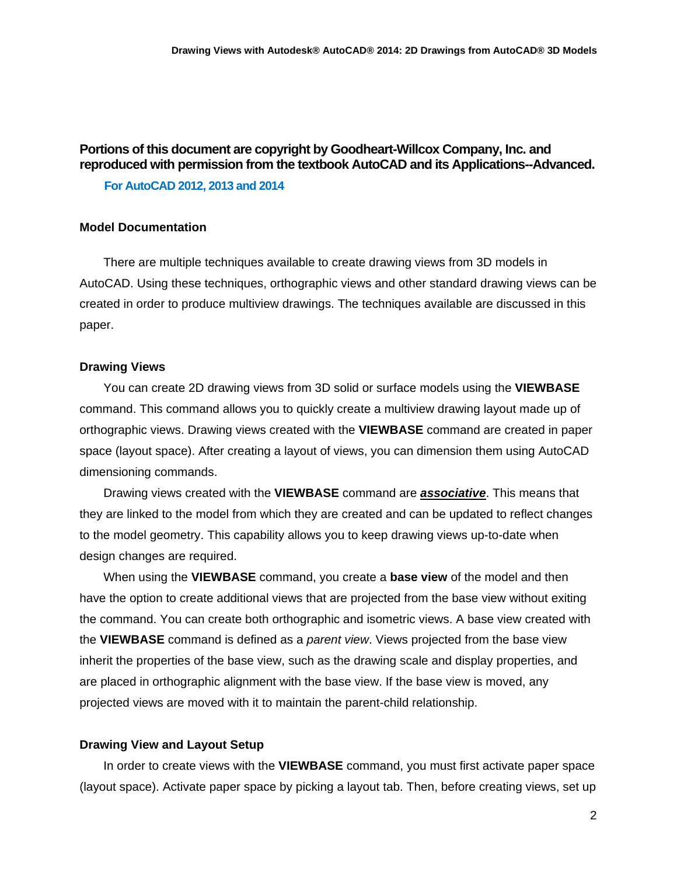## **Portions of this document are copyright by Goodheart-Willcox Company, Inc. and reproduced with permission from the textbook AutoCAD and its Applications--Advanced.**

#### **For AutoCAD 2012, 2013 and 2014**

#### **Model Documentation**

There are multiple techniques available to create drawing views from 3D models in AutoCAD. Using these techniques, orthographic views and other standard drawing views can be created in order to produce multiview drawings. The techniques available are discussed in this paper.

#### **Drawing Views**

You can create 2D drawing views from 3D solid or surface models using the **VIEWBASE** command. This command allows you to quickly create a multiview drawing layout made up of orthographic views. Drawing views created with the **VIEWBASE** command are created in paper space (layout space). After creating a layout of views, you can dimension them using AutoCAD dimensioning commands.

Drawing views created with the **VIEWBASE** command are *associative*. This means that they are linked to the model from which they are created and can be updated to reflect changes to the model geometry. This capability allows you to keep drawing views up-to-date when design changes are required.

When using the **VIEWBASE** command, you create a **base view** of the model and then have the option to create additional views that are projected from the base view without exiting the command. You can create both orthographic and isometric views. A base view created with the **VIEWBASE** command is defined as a *parent view*. Views projected from the base view inherit the properties of the base view, such as the drawing scale and display properties, and are placed in orthographic alignment with the base view. If the base view is moved, any projected views are moved with it to maintain the parent-child relationship.

#### **Drawing View and Layout Setup**

In order to create views with the **VIEWBASE** command, you must first activate paper space (layout space). Activate paper space by picking a layout tab. Then, before creating views, set up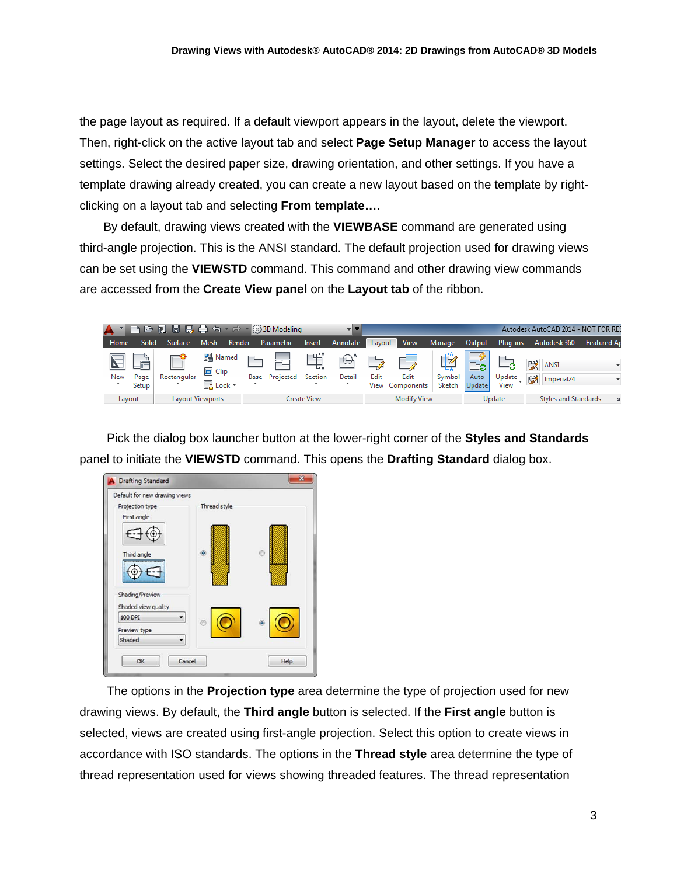the page layout as required. If a default viewport appears in the layout, delete the viewport. Then, right-click on the active layout tab and select **Page Setup Manager** to access the layout settings. Select the desired paper size, drawing orientation, and other settings. If you have a template drawing already created, you can create a new layout based on the template by rightclicking on a layout tab and selecting **From template…**.

By default, drawing views created with the **VIEWBASE** command are generated using third-angle projection. This is the ANSI standard. The default projection used for drawing views can be set using the **VIEWSTD** command. This command and other drawing view commands are accessed from the **Create View panel** on the **Layout tab** of the ribbon.



 Pick the dialog box launcher button at the lower-right corner of the **Styles and Standards** panel to initiate the **VIEWSTD** command. This opens the **Drafting Standard** dialog box.



 The options in the **Projection type** area determine the type of projection used for new drawing views. By default, the **Third angle** button is selected. If the **First angle** button is selected, views are created using first-angle projection. Select this option to create views in accordance with ISO standards. The options in the **Thread style** area determine the type of thread representation used for views showing threaded features. The thread representation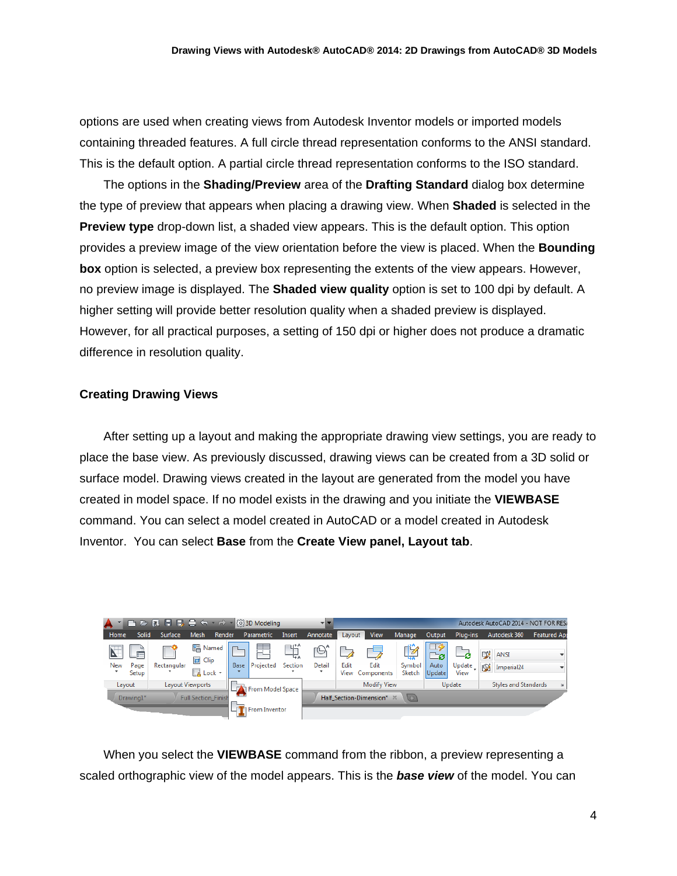options are used when creating views from Autodesk Inventor models or imported models containing threaded features. A full circle thread representation conforms to the ANSI standard. This is the default option. A partial circle thread representation conforms to the ISO standard.

The options in the **Shading/Preview** area of the **Drafting Standard** dialog box determine the type of preview that appears when placing a drawing view. When **Shaded** is selected in the **Preview type** drop-down list, a shaded view appears. This is the default option. This option provides a preview image of the view orientation before the view is placed. When the **Bounding box** option is selected, a preview box representing the extents of the view appears. However, no preview image is displayed. The **Shaded view quality** option is set to 100 dpi by default. A higher setting will provide better resolution quality when a shaded preview is displayed. However, for all practical purposes, a setting of 150 dpi or higher does not produce a dramatic difference in resolution quality.

## **Creating Drawing Views**

After setting up a layout and making the appropriate drawing view settings, you are ready to place the base view. As previously discussed, drawing views can be created from a 3D solid or surface model. Drawing views created in the layout are generated from the model you have created in model space. If no model exists in the drawing and you initiate the **VIEWBASE** command. You can select a model created in AutoCAD or a model created in Autodesk Inventor. You can select **Base** from the **Create View panel, Layout tab**.



When you select the **VIEWBASE** command from the ribbon, a preview representing a scaled orthographic view of the model appears. This is the *base view* of the model. You can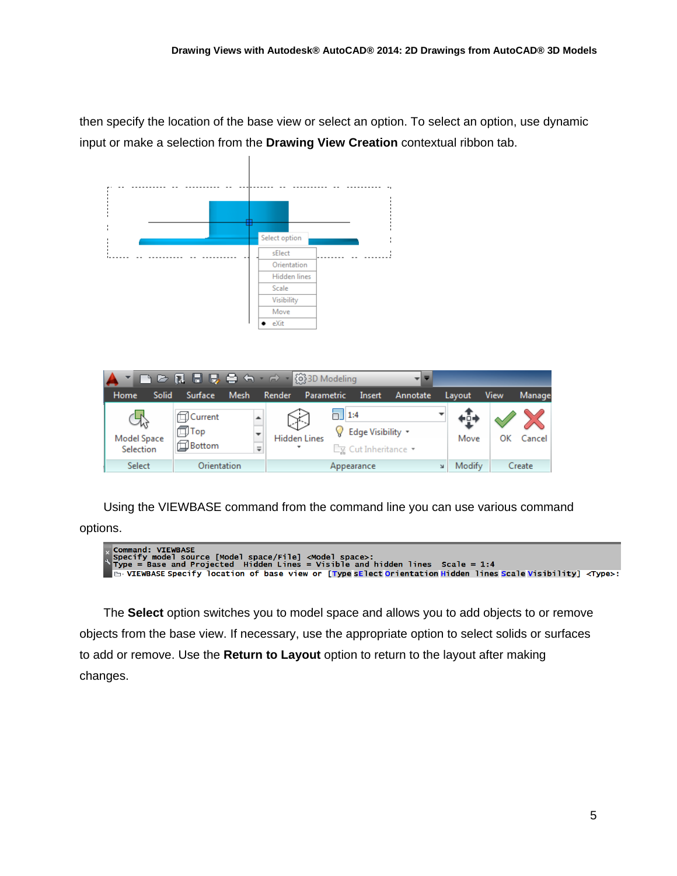then specify the location of the base view or select an option. To select an option, use dynamic input or make a selection from the **Drawing View Creation** contextual ribbon tab.





Using the VIEWBASE command from the command line you can use various command options.

| , Command: VIEWBASE<br>, Specify model source [Model space/File] <model space="">:<br/> Type = Base and Projected  Hidden Lines = Visible and hidden lines  Scale = 1:4</model> |
|---------------------------------------------------------------------------------------------------------------------------------------------------------------------------------|
|                                                                                                                                                                                 |
| $\blacksquare$ $\square$ VIEWBASE Specify location of base view or [Type sElect Orientation Hidden lines Scale Visibility] <type>:</type>                                       |

The **Select** option switches you to model space and allows you to add objects to or remove objects from the base view. If necessary, use the appropriate option to select solids or surfaces to add or remove. Use the **Return to Layout** option to return to the layout after making changes.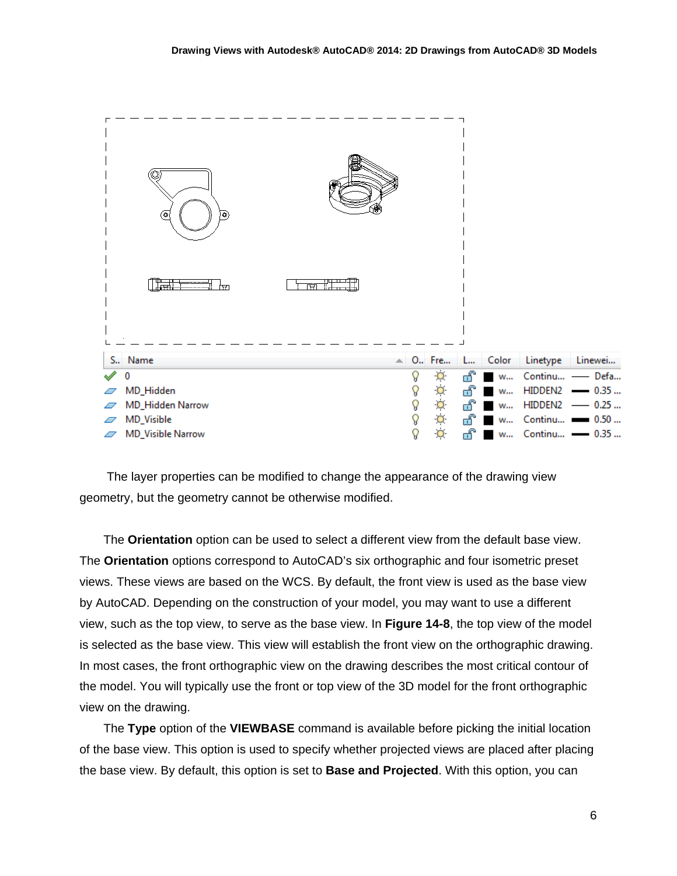

 The layer properties can be modified to change the appearance of the drawing view geometry, but the geometry cannot be otherwise modified.

The **Orientation** option can be used to select a different view from the default base view. The **Orientation** options correspond to AutoCAD's six orthographic and four isometric preset views. These views are based on the WCS. By default, the front view is used as the base view by AutoCAD. Depending on the construction of your model, you may want to use a different view, such as the top view, to serve as the base view. In **Figure 14-8**, the top view of the model is selected as the base view. This view will establish the front view on the orthographic drawing. In most cases, the front orthographic view on the drawing describes the most critical contour of the model. You will typically use the front or top view of the 3D model for the front orthographic view on the drawing.

The **Type** option of the **VIEWBASE** command is available before picking the initial location of the base view. This option is used to specify whether projected views are placed after placing the base view. By default, this option is set to **Base and Projected**. With this option, you can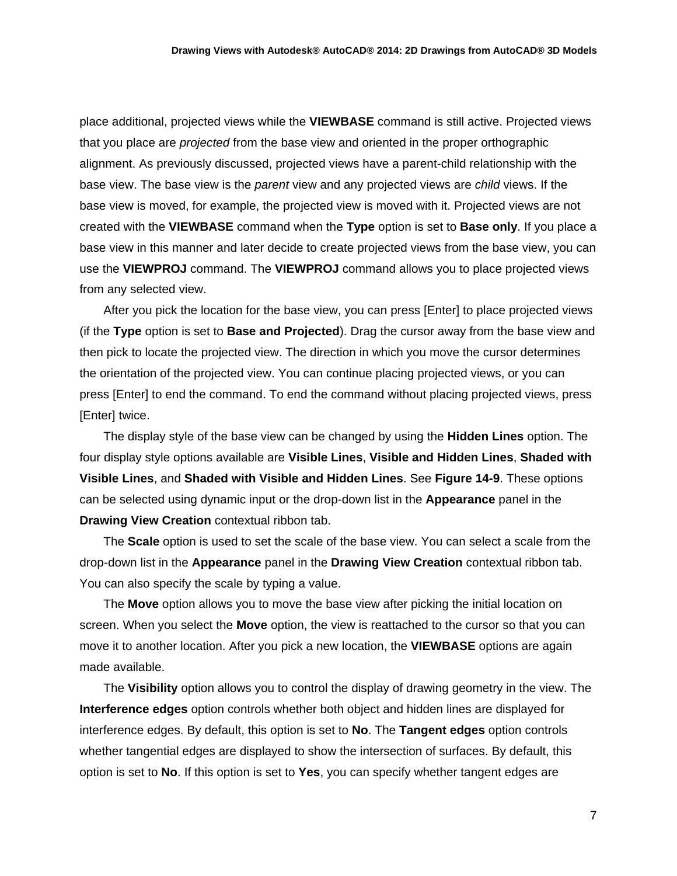place additional, projected views while the **VIEWBASE** command is still active. Projected views that you place are *projected* from the base view and oriented in the proper orthographic alignment. As previously discussed, projected views have a parent-child relationship with the base view. The base view is the *parent* view and any projected views are *child* views. If the base view is moved, for example, the projected view is moved with it. Projected views are not created with the **VIEWBASE** command when the **Type** option is set to **Base only**. If you place a base view in this manner and later decide to create projected views from the base view, you can use the **VIEWPROJ** command. The **VIEWPROJ** command allows you to place projected views from any selected view.

After you pick the location for the base view, you can press [Enter] to place projected views (if the **Type** option is set to **Base and Projected**). Drag the cursor away from the base view and then pick to locate the projected view. The direction in which you move the cursor determines the orientation of the projected view. You can continue placing projected views, or you can press [Enter] to end the command. To end the command without placing projected views, press [Enter] twice.

The display style of the base view can be changed by using the **Hidden Lines** option. The four display style options available are **Visible Lines**, **Visible and Hidden Lines**, **Shaded with Visible Lines**, and **Shaded with Visible and Hidden Lines**. See **Figure 14-9**. These options can be selected using dynamic input or the drop-down list in the **Appearance** panel in the **Drawing View Creation** contextual ribbon tab.

The **Scale** option is used to set the scale of the base view. You can select a scale from the drop-down list in the **Appearance** panel in the **Drawing View Creation** contextual ribbon tab. You can also specify the scale by typing a value.

The **Move** option allows you to move the base view after picking the initial location on screen. When you select the **Move** option, the view is reattached to the cursor so that you can move it to another location. After you pick a new location, the **VIEWBASE** options are again made available.

The **Visibility** option allows you to control the display of drawing geometry in the view. The **Interference edges** option controls whether both object and hidden lines are displayed for interference edges. By default, this option is set to **No**. The **Tangent edges** option controls whether tangential edges are displayed to show the intersection of surfaces. By default, this option is set to **No**. If this option is set to **Yes**, you can specify whether tangent edges are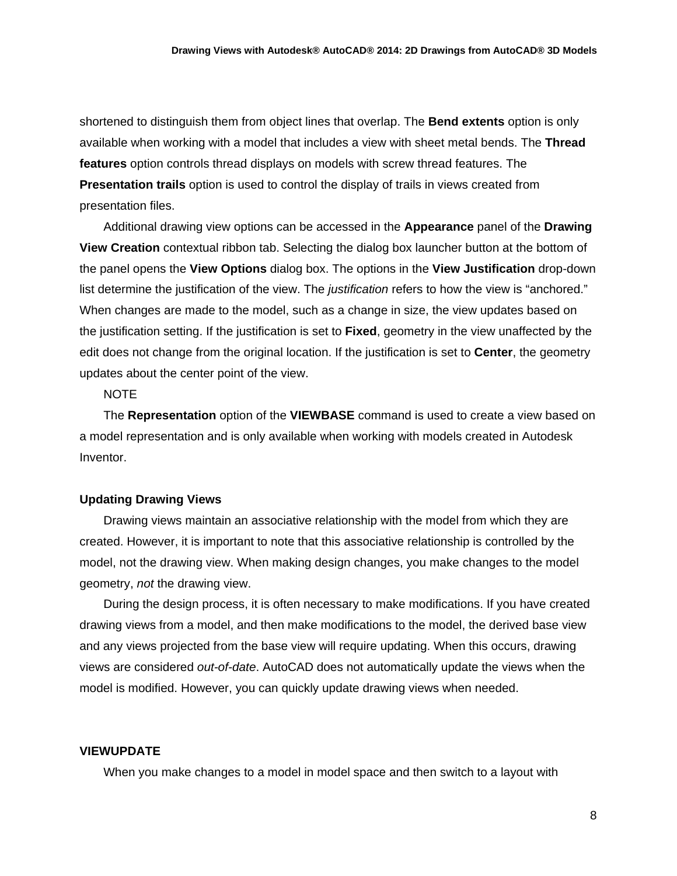shortened to distinguish them from object lines that overlap. The **Bend extents** option is only available when working with a model that includes a view with sheet metal bends. The **Thread features** option controls thread displays on models with screw thread features. The **Presentation trails** option is used to control the display of trails in views created from presentation files.

Additional drawing view options can be accessed in the **Appearance** panel of the **Drawing View Creation** contextual ribbon tab. Selecting the dialog box launcher button at the bottom of the panel opens the **View Options** dialog box. The options in the **View Justification** drop-down list determine the justification of the view. The *justification* refers to how the view is "anchored." When changes are made to the model, such as a change in size, the view updates based on the justification setting. If the justification is set to **Fixed**, geometry in the view unaffected by the edit does not change from the original location. If the justification is set to **Center**, the geometry updates about the center point of the view.

#### NOTE

The **Representation** option of the **VIEWBASE** command is used to create a view based on a model representation and is only available when working with models created in Autodesk Inventor.

#### **Updating Drawing Views**

Drawing views maintain an associative relationship with the model from which they are created. However, it is important to note that this associative relationship is controlled by the model, not the drawing view. When making design changes, you make changes to the model geometry, *not* the drawing view.

During the design process, it is often necessary to make modifications. If you have created drawing views from a model, and then make modifications to the model, the derived base view and any views projected from the base view will require updating. When this occurs, drawing views are considered *out-of-date*. AutoCAD does not automatically update the views when the model is modified. However, you can quickly update drawing views when needed.

#### **VIEWUPDATE**

When you make changes to a model in model space and then switch to a layout with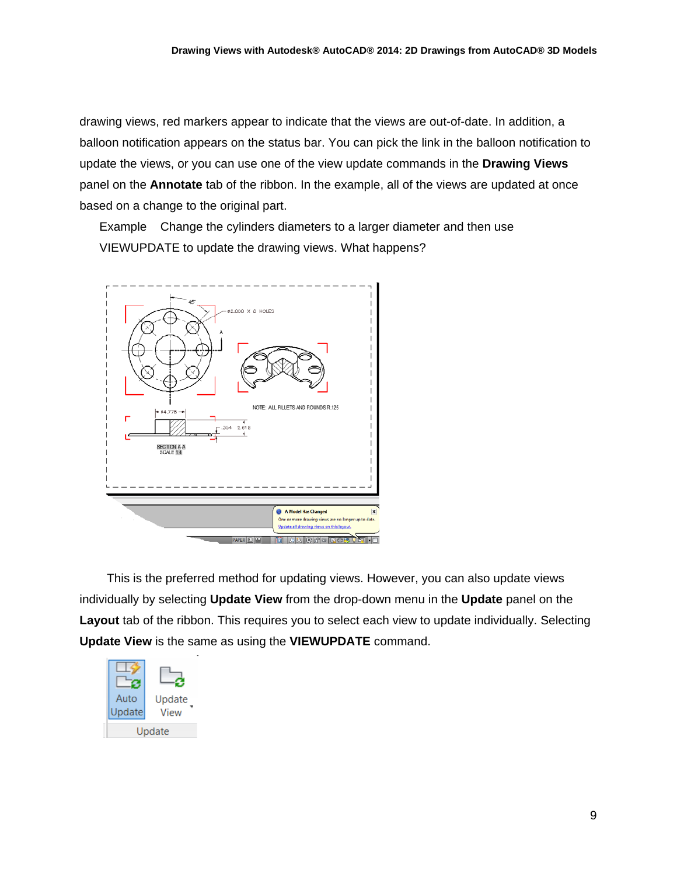drawing views, red markers appear to indicate that the views are out-of-date. In addition, a balloon notification appears on the status bar. You can pick the link in the balloon notification to update the views, or you can use one of the view update commands in the **Drawing Views** panel on the **Annotate** tab of the ribbon. In the example, all of the views are updated at once based on a change to the original part.

Example Change the cylinders diameters to a larger diameter and then use VIEWUPDATE to update the drawing views. What happens?



 This is the preferred method for updating views. However, you can also update views individually by selecting **Update View** from the drop-down menu in the **Update** panel on the **Layout** tab of the ribbon. This requires you to select each view to update individually. Selecting **Update View** is the same as using the **VIEWUPDATE** command.

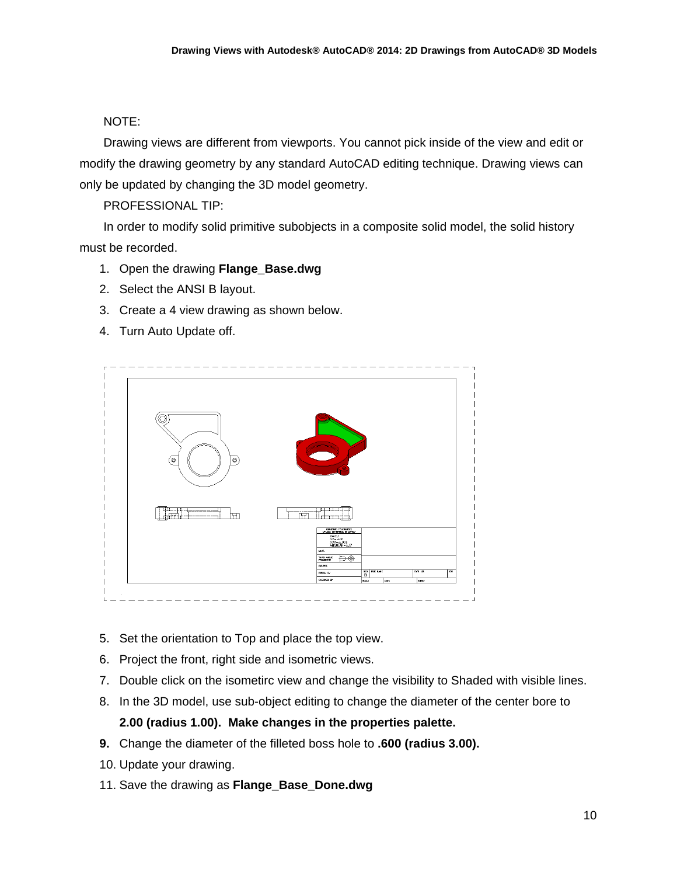# NOTE:

Drawing views are different from viewports. You cannot pick inside of the view and edit or modify the drawing geometry by any standard AutoCAD editing technique. Drawing views can only be updated by changing the 3D model geometry.

# PROFESSIONAL TIP:

In order to modify solid primitive subobjects in a composite solid model, the solid history must be recorded.

- 1. Open the drawing **Flange\_Base.dwg**
- 2. Select the ANSI B layout.
- 3. Create a 4 view drawing as shown below.
- 4. Turn Auto Update off.



- 5. Set the orientation to Top and place the top view.
- 6. Project the front, right side and isometric views.
- 7. Double click on the isometirc view and change the visibility to Shaded with visible lines.
- 8. In the 3D model, use sub-object editing to change the diameter of the center bore to **2.00 (radius 1.00). Make changes in the properties palette.**
- **9.** Change the diameter of the filleted boss hole to **.600 (radius 3.00).**
- 10. Update your drawing.
- 11. Save the drawing as **Flange\_Base\_Done.dwg**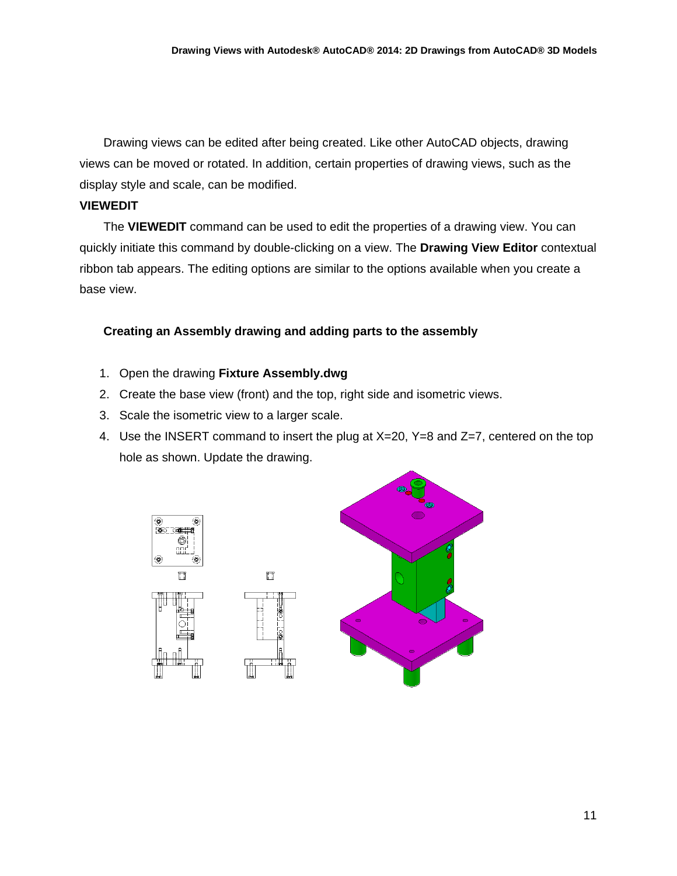Drawing views can be edited after being created. Like other AutoCAD objects, drawing views can be moved or rotated. In addition, certain properties of drawing views, such as the display style and scale, can be modified.

### **VIEWEDIT**

The **VIEWEDIT** command can be used to edit the properties of a drawing view. You can quickly initiate this command by double-clicking on a view. The **Drawing View Editor** contextual ribbon tab appears. The editing options are similar to the options available when you create a base view.

## **Creating an Assembly drawing and adding parts to the assembly**

- 1. Open the drawing **Fixture Assembly.dwg**
- 2. Create the base view (front) and the top, right side and isometric views.
- 3. Scale the isometric view to a larger scale.
- 4. Use the INSERT command to insert the plug at X=20, Y=8 and Z=7, centered on the top hole as shown. Update the drawing.

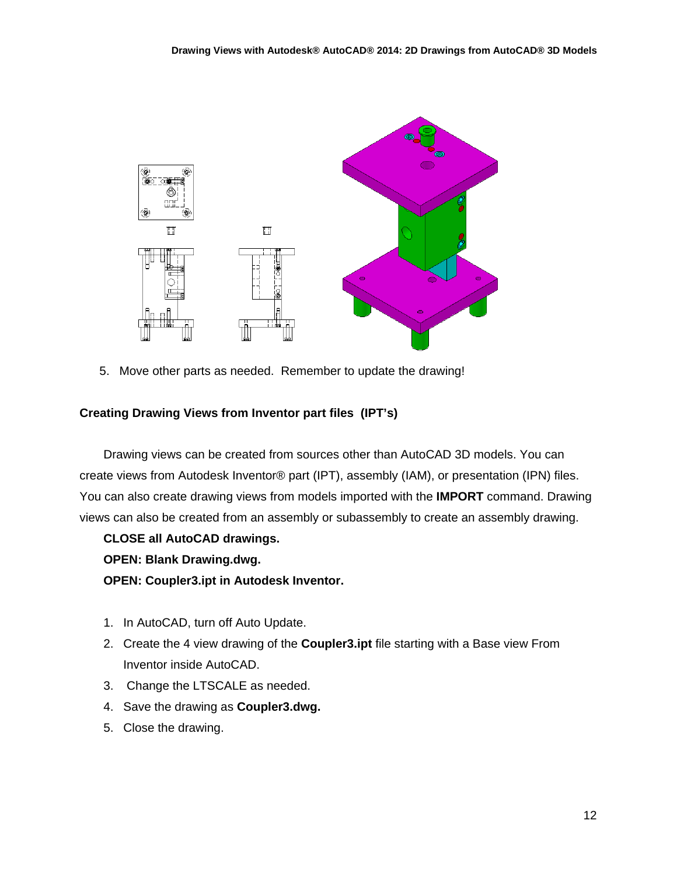

5. Move other parts as needed. Remember to update the drawing!

## **Creating Drawing Views from Inventor part files (IPT's)**

Drawing views can be created from sources other than AutoCAD 3D models. You can create views from Autodesk Inventor® part (IPT), assembly (IAM), or presentation (IPN) files. You can also create drawing views from models imported with the **IMPORT** command. Drawing views can also be created from an assembly or subassembly to create an assembly drawing.

## **CLOSE all AutoCAD drawings.**

**OPEN: Blank Drawing.dwg.** 

**OPEN: Coupler3.ipt in Autodesk Inventor.** 

- 1. In AutoCAD, turn off Auto Update.
- 2. Create the 4 view drawing of the **Coupler3.ipt** file starting with a Base view From Inventor inside AutoCAD.
- 3. Change the LTSCALE as needed.
- 4. Save the drawing as **Coupler3.dwg.**
- 5. Close the drawing.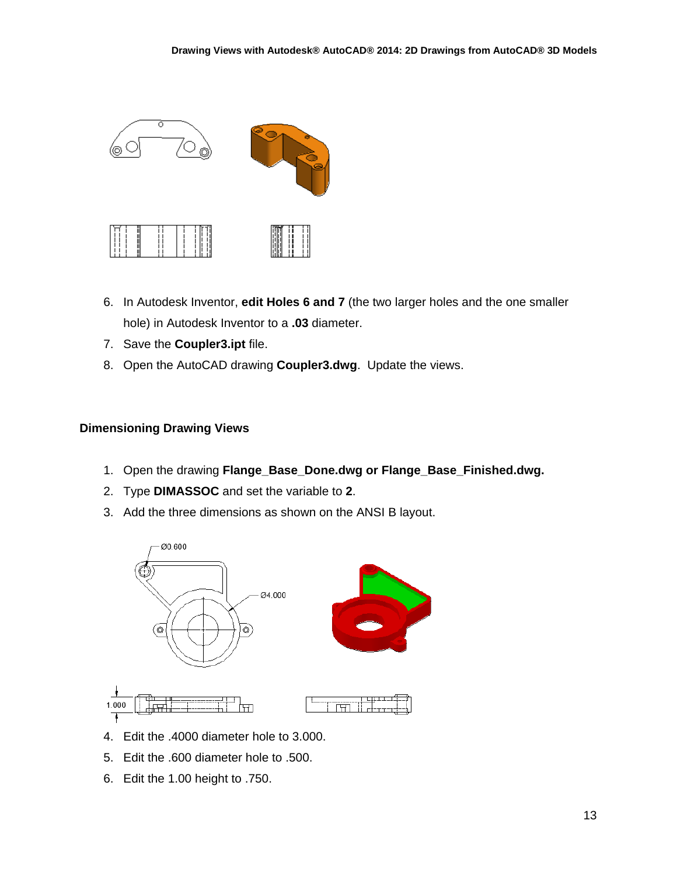

- 6. In Autodesk Inventor, **edit Holes 6 and 7** (the two larger holes and the one smaller hole) in Autodesk Inventor to a **.03** diameter.
- 7. Save the **Coupler3.ipt** file.
- 8. Open the AutoCAD drawing **Coupler3.dwg**. Update the views.

## **Dimensioning Drawing Views**

- 1. Open the drawing **Flange\_Base\_Done.dwg or Flange\_Base\_Finished.dwg.**
- 2. Type **DIMASSOC** and set the variable to **2**.
- 3. Add the three dimensions as shown on the ANSI B layout.



- 4. Edit the .4000 diameter hole to 3.000.
- 5. Edit the .600 diameter hole to .500.
- 6. Edit the 1.00 height to .750.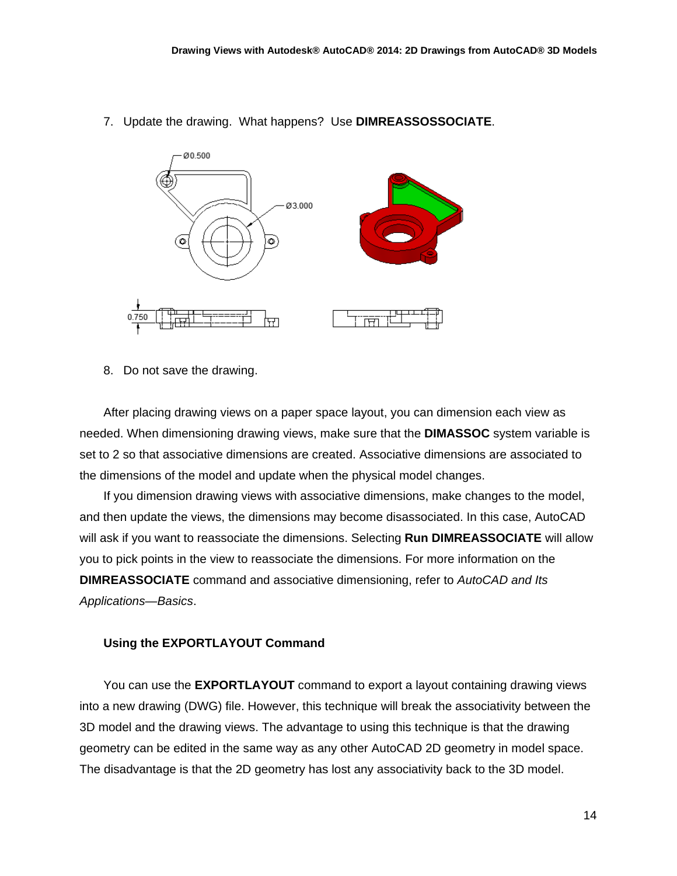

7. Update the drawing. What happens? Use **DIMREASSOSSOCIATE**.

8. Do not save the drawing.

After placing drawing views on a paper space layout, you can dimension each view as needed. When dimensioning drawing views, make sure that the **DIMASSOC** system variable is set to 2 so that associative dimensions are created. Associative dimensions are associated to the dimensions of the model and update when the physical model changes.

If you dimension drawing views with associative dimensions, make changes to the model, and then update the views, the dimensions may become disassociated. In this case, AutoCAD will ask if you want to reassociate the dimensions. Selecting **Run DIMREASSOCIATE** will allow you to pick points in the view to reassociate the dimensions. For more information on the **DIMREASSOCIATE** command and associative dimensioning, refer to *AutoCAD and Its Applications—Basics*.

#### **Using the EXPORTLAYOUT Command**

You can use the **EXPORTLAYOUT** command to export a layout containing drawing views into a new drawing (DWG) file. However, this technique will break the associativity between the 3D model and the drawing views. The advantage to using this technique is that the drawing geometry can be edited in the same way as any other AutoCAD 2D geometry in model space. The disadvantage is that the 2D geometry has lost any associativity back to the 3D model.